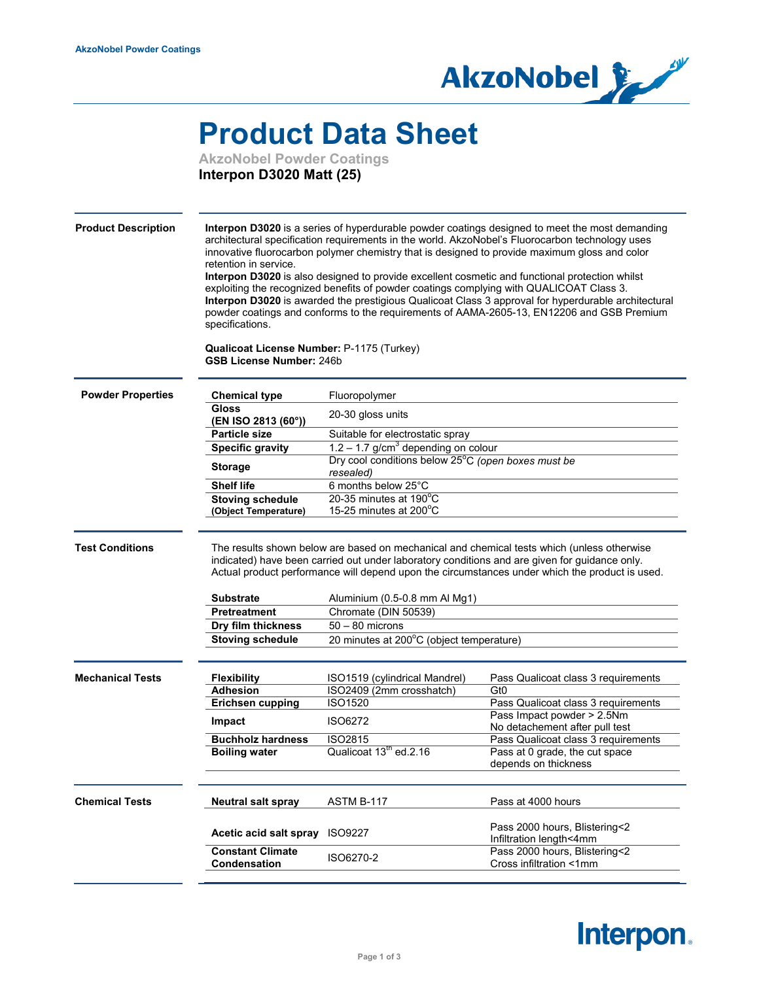

## **Product Data Sheet**

**AkzoNobel Powder Coatings Interpon D3020 Matt (25)**

| <b>Product Description</b> | retention in service.<br>specifications.<br>Qualicoat License Number: P-1175 (Turkey)<br><b>GSB License Number: 246b</b> | exploiting the recognized benefits of powder coatings complying with QUALICOAT Class 3.                                                                                                                                                                                                                                                                                                                                 | Interpon D3020 is a series of hyperdurable powder coatings designed to meet the most demanding<br>architectural specification requirements in the world. AkzoNobel's Fluorocarbon technology uses<br>innovative fluorocarbon polymer chemistry that is designed to provide maximum gloss and color<br>Interpon D3020 is also designed to provide excellent cosmetic and functional protection whilst<br>Interpon D3020 is awarded the prestigious Qualicoat Class 3 approval for hyperdurable architectural<br>powder coatings and conforms to the requirements of AAMA-2605-13, EN12206 and GSB Premium |
|----------------------------|--------------------------------------------------------------------------------------------------------------------------|-------------------------------------------------------------------------------------------------------------------------------------------------------------------------------------------------------------------------------------------------------------------------------------------------------------------------------------------------------------------------------------------------------------------------|----------------------------------------------------------------------------------------------------------------------------------------------------------------------------------------------------------------------------------------------------------------------------------------------------------------------------------------------------------------------------------------------------------------------------------------------------------------------------------------------------------------------------------------------------------------------------------------------------------|
| <b>Powder Properties</b>   | <b>Chemical type</b>                                                                                                     | Fluoropolymer                                                                                                                                                                                                                                                                                                                                                                                                           |                                                                                                                                                                                                                                                                                                                                                                                                                                                                                                                                                                                                          |
|                            | Gloss<br>(EN ISO 2813 (60°))                                                                                             | 20-30 gloss units                                                                                                                                                                                                                                                                                                                                                                                                       |                                                                                                                                                                                                                                                                                                                                                                                                                                                                                                                                                                                                          |
|                            | <b>Particle size</b>                                                                                                     | Suitable for electrostatic spray                                                                                                                                                                                                                                                                                                                                                                                        |                                                                                                                                                                                                                                                                                                                                                                                                                                                                                                                                                                                                          |
|                            | <b>Specific gravity</b>                                                                                                  | $1.2 - 1.7$ g/cm <sup>3</sup> depending on colour                                                                                                                                                                                                                                                                                                                                                                       |                                                                                                                                                                                                                                                                                                                                                                                                                                                                                                                                                                                                          |
|                            | <b>Storage</b>                                                                                                           | Dry cool conditions below 25°C (open boxes must be<br>resealed)                                                                                                                                                                                                                                                                                                                                                         |                                                                                                                                                                                                                                                                                                                                                                                                                                                                                                                                                                                                          |
|                            | <b>Shelf life</b>                                                                                                        | 6 months below 25°C                                                                                                                                                                                                                                                                                                                                                                                                     |                                                                                                                                                                                                                                                                                                                                                                                                                                                                                                                                                                                                          |
|                            | <b>Stoving schedule</b><br>(Object Temperature)                                                                          | 20-35 minutes at 190°C<br>15-25 minutes at $200^{\circ}$ C                                                                                                                                                                                                                                                                                                                                                              |                                                                                                                                                                                                                                                                                                                                                                                                                                                                                                                                                                                                          |
| <b>Test Conditions</b>     | <b>Substrate</b><br><b>Pretreatment</b><br>Dry film thickness<br><b>Stoving schedule</b>                                 | The results shown below are based on mechanical and chemical tests which (unless otherwise<br>indicated) have been carried out under laboratory conditions and are given for guidance only.<br>Actual product performance will depend upon the circumstances under which the product is used.<br>Aluminium (0.5-0.8 mm Al Mg1)<br>Chromate (DIN 50539)<br>$50 - 80$ microns<br>20 minutes at 200°C (object temperature) |                                                                                                                                                                                                                                                                                                                                                                                                                                                                                                                                                                                                          |
| <b>Mechanical Tests</b>    |                                                                                                                          |                                                                                                                                                                                                                                                                                                                                                                                                                         |                                                                                                                                                                                                                                                                                                                                                                                                                                                                                                                                                                                                          |
|                            | <b>Flexibility</b>                                                                                                       | ISO1519 (cylindrical Mandrel)                                                                                                                                                                                                                                                                                                                                                                                           | Pass Qualicoat class 3 requirements                                                                                                                                                                                                                                                                                                                                                                                                                                                                                                                                                                      |
|                            | <b>Adhesion</b>                                                                                                          | ISO2409 (2mm crosshatch)                                                                                                                                                                                                                                                                                                                                                                                                | Gt0                                                                                                                                                                                                                                                                                                                                                                                                                                                                                                                                                                                                      |
|                            | <b>Erichsen cupping</b>                                                                                                  | ISO1520                                                                                                                                                                                                                                                                                                                                                                                                                 | Pass Qualicoat class 3 requirements                                                                                                                                                                                                                                                                                                                                                                                                                                                                                                                                                                      |
|                            | Impact                                                                                                                   | ISO6272                                                                                                                                                                                                                                                                                                                                                                                                                 | Pass Impact powder > 2.5Nm                                                                                                                                                                                                                                                                                                                                                                                                                                                                                                                                                                               |
|                            | <b>Buchholz hardness</b>                                                                                                 | <b>ISO2815</b>                                                                                                                                                                                                                                                                                                                                                                                                          | No detachement after pull test                                                                                                                                                                                                                                                                                                                                                                                                                                                                                                                                                                           |
|                            | <b>Boiling water</b>                                                                                                     | Qualicoat 13 <sup>th</sup> ed.2.16                                                                                                                                                                                                                                                                                                                                                                                      | Pass Qualicoat class 3 requirements<br>Pass at 0 grade, the cut space<br>depends on thickness                                                                                                                                                                                                                                                                                                                                                                                                                                                                                                            |
|                            | <b>Neutral salt spray</b>                                                                                                | ASTM B-117                                                                                                                                                                                                                                                                                                                                                                                                              | Pass at 4000 hours                                                                                                                                                                                                                                                                                                                                                                                                                                                                                                                                                                                       |
| <b>Chemical Tests</b>      | Acetic acid salt spray                                                                                                   | <b>ISO9227</b>                                                                                                                                                                                                                                                                                                                                                                                                          | Pass 2000 hours, Blistering<2<br>Infiltration length<4mm<br>Pass 2000 hours, Blistering<2                                                                                                                                                                                                                                                                                                                                                                                                                                                                                                                |

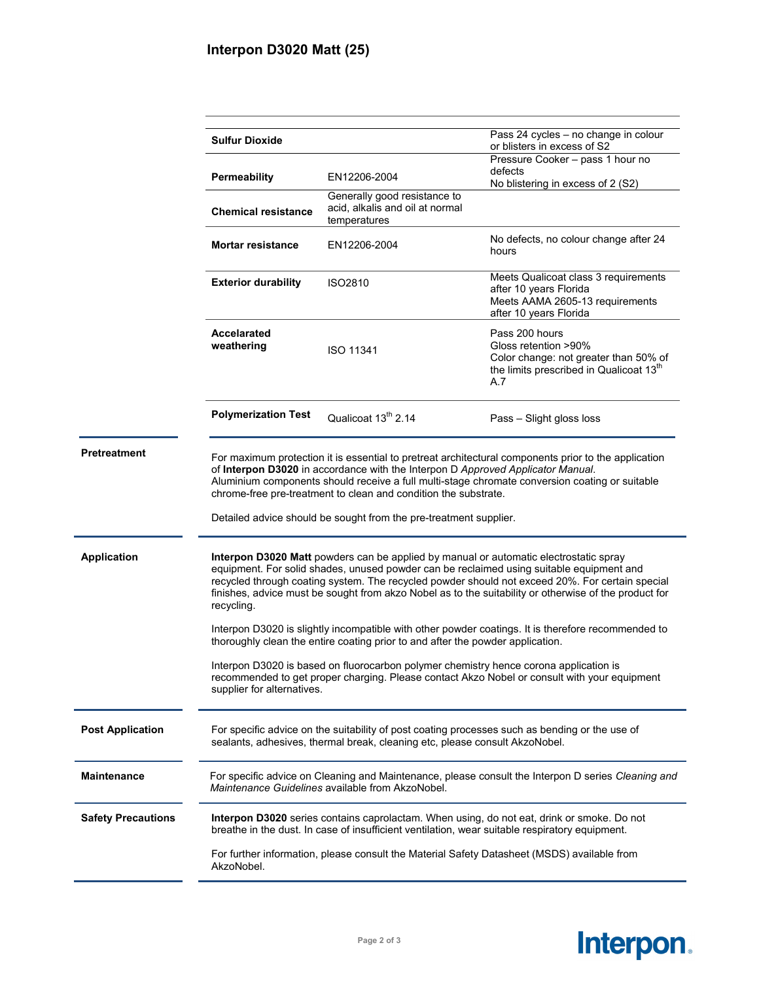|                           | <b>Sulfur Dioxide</b>                                                                                                                                                                                                                                                                                                                                                                                                                                                                                                                                                                               |                                                                                 | Pass 24 cycles - no change in colour<br>or blisters in excess of S2                                                                           |  |
|---------------------------|-----------------------------------------------------------------------------------------------------------------------------------------------------------------------------------------------------------------------------------------------------------------------------------------------------------------------------------------------------------------------------------------------------------------------------------------------------------------------------------------------------------------------------------------------------------------------------------------------------|---------------------------------------------------------------------------------|-----------------------------------------------------------------------------------------------------------------------------------------------|--|
|                           | <b>Permeability</b>                                                                                                                                                                                                                                                                                                                                                                                                                                                                                                                                                                                 | EN12206-2004                                                                    | Pressure Cooker - pass 1 hour no<br>defects<br>No blistering in excess of 2 (S2)                                                              |  |
|                           | <b>Chemical resistance</b>                                                                                                                                                                                                                                                                                                                                                                                                                                                                                                                                                                          | Generally good resistance to<br>acid, alkalis and oil at normal<br>temperatures |                                                                                                                                               |  |
|                           | <b>Mortar resistance</b>                                                                                                                                                                                                                                                                                                                                                                                                                                                                                                                                                                            | EN12206-2004                                                                    | No defects, no colour change after 24<br>hours                                                                                                |  |
|                           | <b>Exterior durability</b>                                                                                                                                                                                                                                                                                                                                                                                                                                                                                                                                                                          | <b>ISO2810</b>                                                                  | Meets Qualicoat class 3 requirements<br>after 10 years Florida<br>Meets AAMA 2605-13 requirements<br>after 10 years Florida                   |  |
|                           | <b>Accelarated</b><br>weathering                                                                                                                                                                                                                                                                                                                                                                                                                                                                                                                                                                    | <b>ISO 11341</b>                                                                | Pass 200 hours<br>Gloss retention >90%<br>Color change: not greater than 50% of<br>the limits prescribed in Qualicoat 13 <sup>th</sup><br>A.7 |  |
|                           | <b>Polymerization Test</b>                                                                                                                                                                                                                                                                                                                                                                                                                                                                                                                                                                          | Qualicoat 13 <sup>th</sup> 2.14                                                 | Pass - Slight gloss loss                                                                                                                      |  |
| <b>Pretreatment</b>       | For maximum protection it is essential to pretreat architectural components prior to the application<br>of Interpon D3020 in accordance with the Interpon D Approved Applicator Manual.<br>Aluminium components should receive a full multi-stage chromate conversion coating or suitable<br>chrome-free pre-treatment to clean and condition the substrate.<br>Detailed advice should be sought from the pre-treatment supplier.                                                                                                                                                                   |                                                                                 |                                                                                                                                               |  |
| <b>Application</b>        | Interpon D3020 Matt powders can be applied by manual or automatic electrostatic spray<br>equipment. For solid shades, unused powder can be reclaimed using suitable equipment and<br>recycled through coating system. The recycled powder should not exceed 20%. For certain special<br>finishes, advice must be sought from akzo Nobel as to the suitability or otherwise of the product for<br>recycling.<br>Interpon D3020 is slightly incompatible with other powder coatings. It is therefore recommended to<br>thoroughly clean the entire coating prior to and after the powder application. |                                                                                 |                                                                                                                                               |  |
|                           | Interpon D3020 is based on fluorocarbon polymer chemistry hence corona application is<br>recommended to get proper charging. Please contact Akzo Nobel or consult with your equipment<br>supplier for alternatives.                                                                                                                                                                                                                                                                                                                                                                                 |                                                                                 |                                                                                                                                               |  |
| <b>Post Application</b>   | For specific advice on the suitability of post coating processes such as bending or the use of<br>sealants, adhesives, thermal break, cleaning etc, please consult AkzoNobel.                                                                                                                                                                                                                                                                                                                                                                                                                       |                                                                                 |                                                                                                                                               |  |
| <b>Maintenance</b>        | For specific advice on Cleaning and Maintenance, please consult the Interpon D series Cleaning and<br>Maintenance Guidelines available from AkzoNobel.                                                                                                                                                                                                                                                                                                                                                                                                                                              |                                                                                 |                                                                                                                                               |  |
| <b>Safety Precautions</b> | Interpon D3020 series contains caprolactam. When using, do not eat, drink or smoke. Do not<br>breathe in the dust. In case of insufficient ventilation, wear suitable respiratory equipment.                                                                                                                                                                                                                                                                                                                                                                                                        |                                                                                 |                                                                                                                                               |  |
|                           | AkzoNobel.                                                                                                                                                                                                                                                                                                                                                                                                                                                                                                                                                                                          |                                                                                 | For further information, please consult the Material Safety Datasheet (MSDS) available from                                                   |  |
|                           |                                                                                                                                                                                                                                                                                                                                                                                                                                                                                                                                                                                                     |                                                                                 |                                                                                                                                               |  |